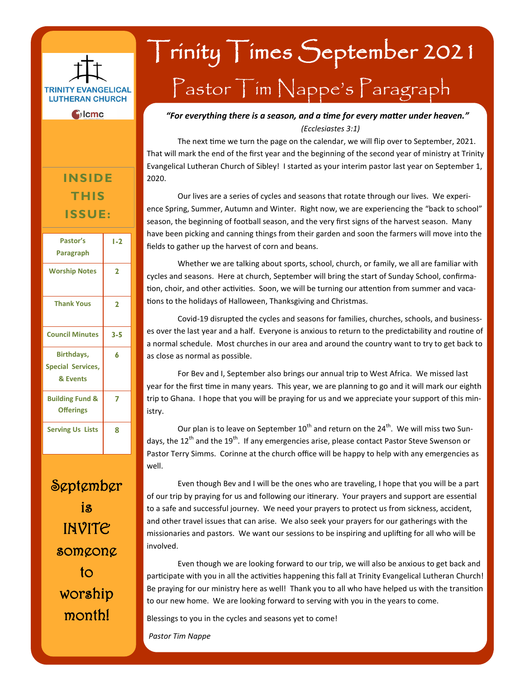

### **INSIDE THIS ISSUE:**

| Pastor's<br>Paragraph                              | $1-2$        |
|----------------------------------------------------|--------------|
| <b>Worship Notes</b>                               | $\mathbf{z}$ |
| <b>Thank Yous</b>                                  | 2            |
| <b>Council Minutes</b>                             | $3 - 5$      |
| Birthdays,<br><b>Special Services,</b><br>& Events | 6            |
| <b>Building Fund &amp;</b><br><b>Offerings</b>     | 7            |
| <b>Serving Us Lists</b>                            | 8            |

September is INVITE someone to worship month!

# Trinity Times September 2021 Pastor Tim Nappe's Paragraph

### *"For everything there is a season, and a time for every matter under heaven." (Ecclesiastes 3:1)*

The next time we turn the page on the calendar, we will flip over to September, 2021. That will mark the end of the first year and the beginning of the second year of ministry at Trinity Evangelical Lutheran Church of Sibley! I started as your interim pastor last year on September 1, 2020.

Our lives are a series of cycles and seasons that rotate through our lives. We experience Spring, Summer, Autumn and Winter. Right now, we are experiencing the "back to school" season, the beginning of football season, and the very first signs of the harvest season. Many have been picking and canning things from their garden and soon the farmers will move into the fields to gather up the harvest of corn and beans.

Whether we are talking about sports, school, church, or family, we all are familiar with cycles and seasons. Here at church, September will bring the start of Sunday School, confirmation, choir, and other activities. Soon, we will be turning our attention from summer and vacations to the holidays of Halloween, Thanksgiving and Christmas.

Covid-19 disrupted the cycles and seasons for families, churches, schools, and businesses over the last year and a half. Everyone is anxious to return to the predictability and routine of a normal schedule. Most churches in our area and around the country want to try to get back to as close as normal as possible.

For Bev and I, September also brings our annual trip to West Africa. We missed last year for the first time in many years. This year, we are planning to go and it will mark our eighth trip to Ghana. I hope that you will be praying for us and we appreciate your support of this ministry.

Our plan is to leave on September  $10^{th}$  and return on the  $24^{th}$ . We will miss two Sundays, the  $12^{th}$  and the  $19^{th}$ . If any emergencies arise, please contact Pastor Steve Swenson or Pastor Terry Simms. Corinne at the church office will be happy to help with any emergencies as well.

Even though Bev and I will be the ones who are traveling, I hope that you will be a part of our trip by praying for us and following our itinerary. Your prayers and support are essential to a safe and successful journey. We need your prayers to protect us from sickness, accident, and other travel issues that can arise. We also seek your prayers for our gatherings with the missionaries and pastors. We want our sessions to be inspiring and uplifting for all who will be involved.

Even though we are looking forward to our trip, we will also be anxious to get back and participate with you in all the activities happening this fall at Trinity Evangelical Lutheran Church! Be praying for our ministry here as well! Thank you to all who have helped us with the transition to our new home. We are looking forward to serving with you in the years to come.

Blessings to you in the cycles and seasons yet to come!

*Pastor Tim Nappe*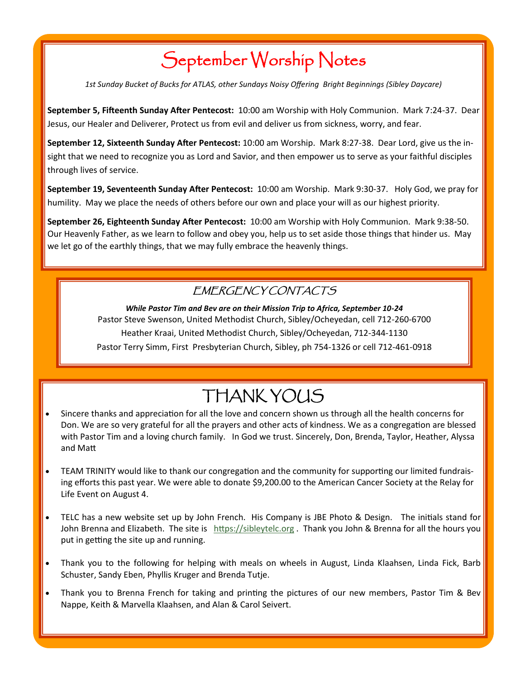## September Worship Notes

*1st Sunday Bucket of Bucks for ATLAS, other Sundays Noisy Offering Bright Beginnings (Sibley Daycare)*

**September 5, Fifteenth Sunday After Pentecost:** 10:00 am Worship with Holy Communion. Mark 7:24-37. Dear Jesus, our Healer and Deliverer, Protect us from evil and deliver us from sickness, worry, and fear.

**September 12, Sixteenth Sunday After Pentecost:** 10:00 am Worship. Mark 8:27-38. Dear Lord, give us the insight that we need to recognize you as Lord and Savior, and then empower us to serve as your faithful disciples through lives of service.

**September 19, Seventeenth Sunday After Pentecost:** 10:00 am Worship. Mark 9:30-37. Holy God, we pray for humility. May we place the needs of others before our own and place your will as our highest priority.

**September 26, Eighteenth Sunday After Pentecost:** 10:00 am Worship with Holy Communion. Mark 9:38-50. Our Heavenly Father, as we learn to follow and obey you, help us to set aside those things that hinder us. May we let go of the earthly things, that we may fully embrace the heavenly things.

### EMERGENCY CONTACTS

*While Pastor Tim and Bev are on their Mission Trip to Africa, September 10-24* Pastor Steve Swenson, United Methodist Church, Sibley/Ocheyedan, cell 712-260-6700 Heather Kraai, United Methodist Church, Sibley/Ocheyedan, 712-344-1130 Pastor Terry Simm, First Presbyterian Church, Sibley, ph 754-1326 or cell 712-461-0918

## THANK YOUS

- Sincere thanks and appreciation for all the love and concern shown us through all the health concerns for Don. We are so very grateful for all the prayers and other acts of kindness. We as a congregation are blessed with Pastor Tim and a loving church family. In God we trust. Sincerely, Don, Brenda, Taylor, Heather, Alyssa and Matt
- TEAM TRINITY would like to thank our congregation and the community for supporting our limited fundraising efforts this past year. We were able to donate \$9,200.00 to the American Cancer Society at the Relay for Life Event on August 4.
- TELC has a new website set up by John French. His Company is JBE Photo & Design. The initials stand for John Brenna and Elizabeth. The site is [https://sibleytelc.org](https://sibleytelc.org/) . Thank you John & Brenna for all the hours you put in getting the site up and running.
- Thank you to the following for helping with meals on wheels in August, Linda Klaahsen, Linda Fick, Barb Schuster, Sandy Eben, Phyllis Kruger and Brenda Tutje.
- Thank you to Brenna French for taking and printing the pictures of our new members, Pastor Tim & Bev Nappe, Keith & Marvella Klaahsen, and Alan & Carol Seivert.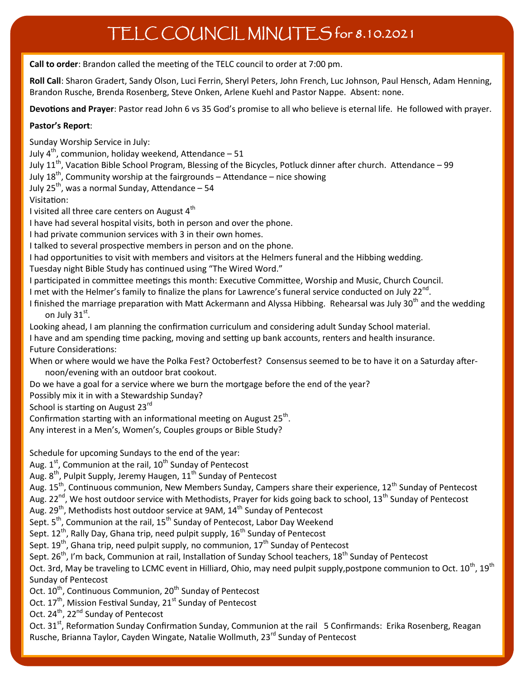## TELC COUNCIL MINUTES for 8.10.2021

**Call to order**: Brandon called the meeting of the TELC council to order at 7:00 pm.

**Roll Call**: Sharon Gradert, Sandy Olson, Luci Ferrin, Sheryl Peters, John French, Luc Johnson, Paul Hensch, Adam Henning, Brandon Rusche, Brenda Rosenberg, Steve Onken, Arlene Kuehl and Pastor Nappe. Absent: none.

**Devotions and Prayer**: Pastor read John 6 vs 35 God's promise to all who believe is eternal life. He followed with prayer.

### **Pastor's Report**:

Sunday Worship Service in July:

July  $4^{th}$ , communion, holiday weekend, Attendance – 51

July 11<sup>th</sup>, Vacation Bible School Program, Blessing of the Bicycles, Potluck dinner after church. Attendance – 99

July  $18^{th}$ , Community worship at the fairgrounds – Attendance – nice showing

July 25<sup>th</sup>, was a normal Sunday, Attendance  $-54$ 

Visitation:

I visited all three care centers on August  $4<sup>th</sup>$ 

I have had several hospital visits, both in person and over the phone.

I had private communion services with 3 in their own homes.

I talked to several prospective members in person and on the phone.

I had opportunities to visit with members and visitors at the Helmers funeral and the Hibbing wedding.

Tuesday night Bible Study has continued using "The Wired Word."

I participated in committee meetings this month: Executive Committee, Worship and Music, Church Council.

I met with the Helmer's family to finalize the plans for Lawrence's funeral service conducted on July 22<sup>nd</sup>.

I finished the marriage preparation with Matt Ackermann and Alyssa Hibbing. Rehearsal was July 30<sup>th</sup> and the wedding on July 3 $1^{\rm st}$ .

Looking ahead, I am planning the confirmation curriculum and considering adult Sunday School material.

I have and am spending time packing, moving and setting up bank accounts, renters and health insurance. Future Considerations:

When or where would we have the Polka Fest? Octoberfest? Consensus seemed to be to have it on a Saturday afternoon/evening with an outdoor brat cookout.

Do we have a goal for a service where we burn the mortgage before the end of the year?

Possibly mix it in with a Stewardship Sunday?

School is starting on August 23<sup>rd</sup>

Confirmation starting with an informational meeting on August 25<sup>th</sup>.

Any interest in a Men's, Women's, Couples groups or Bible Study?

Schedule for upcoming Sundays to the end of the year:

Aug.  $1<sup>st</sup>$ , Communion at the rail,  $10<sup>th</sup>$  Sunday of Pentecost

Aug. 8<sup>th</sup>, Pulpit Supply, Jeremy Haugen, 11<sup>th</sup> Sunday of Pentecost

Aug. 15<sup>th</sup>, Continuous communion, New Members Sunday, Campers share their experience, 12<sup>th</sup> Sunday of Pentecost

Aug. 22<sup>nd</sup>, We host outdoor service with Methodists, Prayer for kids going back to school, 13<sup>th</sup> Sunday of Pentecost

Aug. 29<sup>th</sup>, Methodists host outdoor service at 9AM, 14<sup>th</sup> Sunday of Pentecost

Sept. 5<sup>th</sup>, Communion at the rail, 15<sup>th</sup> Sunday of Pentecost, Labor Day Weekend

Sept.  $12^{th}$ , Rally Day, Ghana trip, need pulpit supply,  $16^{th}$  Sunday of Pentecost

Sept.  $19^{th}$ , Ghana trip, need pulpit supply, no communion,  $17^{th}$  Sunday of Pentecost

Sept. 26<sup>th</sup>, I'm back, Communion at rail, Installation of Sunday School teachers, 18<sup>th</sup> Sunday of Pentecost

Oct. 3rd, May be traveling to LCMC event in Hilliard, Ohio, may need pulpit supply,postpone communion to Oct.  $10^{th}$ ,  $19^{th}$ Sunday of Pentecost

Oct. 10<sup>th</sup>, Continuous Communion, 20<sup>th</sup> Sunday of Pentecost

Oct. 17<sup>th</sup>, Mission Festival Sunday, 21<sup>st</sup> Sunday of Pentecost

Oct. 24<sup>th</sup>, 22<sup>nd</sup> Sunday of Pentecost

Oct. 31<sup>st</sup>, Reformation Sunday Confirmation Sunday, Communion at the rail 5 Confirmands: Erika Rosenberg, Reagan Rusche, Brianna Taylor, Cayden Wingate, Natalie Wollmuth, 23<sup>rd</sup> Sunday of Pentecost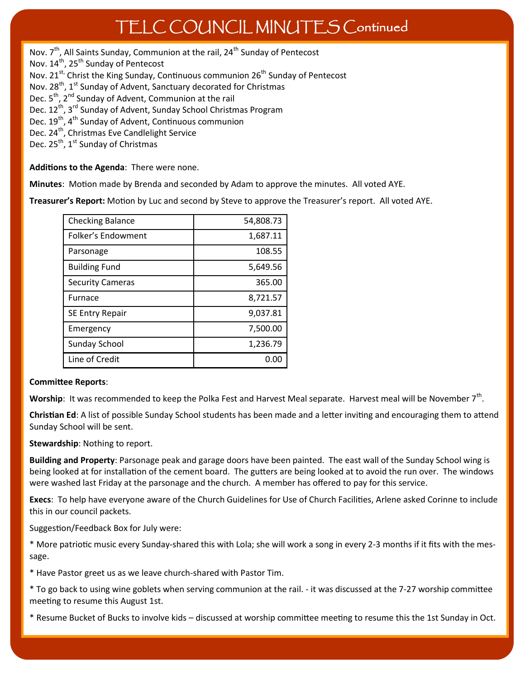## TELC COUNCIL MINUTES Continued

Nov. 7<sup>th</sup>, All Saints Sunday, Communion at the rail, 24<sup>th</sup> Sunday of Pentecost Nov. 14<sup>th</sup>, 25<sup>th</sup> Sunday of Pentecost Nov. 21<sup>st,</sup> Christ the King Sunday, Continuous communion 26<sup>th</sup> Sunday of Pentecost Nov.  $28^{th}$ , 1<sup>st</sup> Sunday of Advent, Sanctuary decorated for Christmas Dec.  $5<sup>th</sup>$ ,  $2<sup>nd</sup>$  Sunday of Advent, Communion at the rail Dec. 12<sup>th</sup>, 3<sup>rd</sup> Sunday of Advent, Sunday School Christmas Program Dec. 19<sup>th</sup>, 4<sup>th</sup> Sunday of Advent, Continuous communion Dec. 24<sup>th</sup>, Christmas Eve Candlelight Service Dec.  $25^{th}$ ,  $1^{st}$  Sunday of Christmas

**Additions to the Agenda**: There were none.

**Minutes**: Motion made by Brenda and seconded by Adam to approve the minutes. All voted AYE.

**Treasurer's Report:** Motion by Luc and second by Steve to approve the Treasurer's report. All voted AYE.

| <b>Checking Balance</b> | 54,808.73 |
|-------------------------|-----------|
| Folker's Endowment      | 1,687.11  |
| Parsonage               | 108.55    |
| <b>Building Fund</b>    | 5,649.56  |
| <b>Security Cameras</b> | 365.00    |
| <b>Furnace</b>          | 8,721.57  |
| SE Entry Repair         | 9,037.81  |
| Emergency               | 7,500.00  |
| <b>Sunday School</b>    | 1,236.79  |
| Line of Credit          | 0.00      |

#### **Committee Reports**:

Worship: It was recommended to keep the Polka Fest and Harvest Meal separate. Harvest meal will be November 7<sup>th</sup>.

**Christian Ed**: A list of possible Sunday School students has been made and a letter inviting and encouraging them to attend Sunday School will be sent.

**Stewardship**: Nothing to report.

**Building and Property**: Parsonage peak and garage doors have been painted. The east wall of the Sunday School wing is being looked at for installation of the cement board. The gutters are being looked at to avoid the run over. The windows were washed last Friday at the parsonage and the church. A member has offered to pay for this service.

**Execs**: To help have everyone aware of the Church Guidelines for Use of Church Facilities, Arlene asked Corinne to include this in our council packets.

Suggestion/Feedback Box for July were:

\* More patriotic music every Sunday-shared this with Lola; she will work a song in every 2-3 months if it fits with the message.

\* Have Pastor greet us as we leave church-shared with Pastor Tim.

\* To go back to using wine goblets when serving communion at the rail. - it was discussed at the 7-27 worship committee meeting to resume this August 1st.

\* Resume Bucket of Bucks to involve kids – discussed at worship committee meeting to resume this the 1st Sunday in Oct.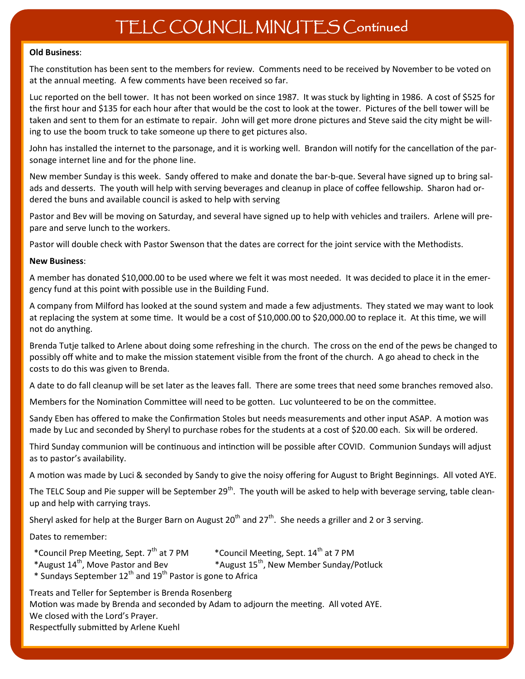#### **Old Business**:

The constitution has been sent to the members for review. Comments need to be received by November to be voted on at the annual meeting. A few comments have been received so far.

Luc reported on the bell tower. It has not been worked on since 1987. It was stuck by lighting in 1986. A cost of \$525 for the first hour and \$135 for each hour after that would be the cost to look at the tower. Pictures of the bell tower will be taken and sent to them for an estimate to repair. John will get more drone pictures and Steve said the city might be willing to use the boom truck to take someone up there to get pictures also.

John has installed the internet to the parsonage, and it is working well. Brandon will notify for the cancellation of the parsonage internet line and for the phone line.

New member Sunday is this week. Sandy offered to make and donate the bar-b-que. Several have signed up to bring salads and desserts. The youth will help with serving beverages and cleanup in place of coffee fellowship. Sharon had ordered the buns and available council is asked to help with serving

Pastor and Bev will be moving on Saturday, and several have signed up to help with vehicles and trailers. Arlene will prepare and serve lunch to the workers.

Pastor will double check with Pastor Swenson that the dates are correct for the joint service with the Methodists.

#### **New Business**:

A member has donated \$10,000.00 to be used where we felt it was most needed. It was decided to place it in the emergency fund at this point with possible use in the Building Fund.

A company from Milford has looked at the sound system and made a few adjustments. They stated we may want to look at replacing the system at some time. It would be a cost of \$10,000.00 to \$20,000.00 to replace it. At this time, we will not do anything.

Brenda Tutje talked to Arlene about doing some refreshing in the church. The cross on the end of the pews be changed to possibly off white and to make the mission statement visible from the front of the church. A go ahead to check in the costs to do this was given to Brenda.

A date to do fall cleanup will be set later as the leaves fall. There are some trees that need some branches removed also.

Members for the Nomination Committee will need to be gotten. Luc volunteered to be on the committee.

Sandy Eben has offered to make the Confirmation Stoles but needs measurements and other input ASAP. A motion was made by Luc and seconded by Sheryl to purchase robes for the students at a cost of \$20.00 each. Six will be ordered.

Third Sunday communion will be continuous and intinction will be possible after COVID. Communion Sundays will adjust as to pastor's availability.

A motion was made by Luci & seconded by Sandy to give the noisy offering for August to Bright Beginnings. All voted AYE.

The TELC Soup and Pie supper will be September  $29^{th}$ . The youth will be asked to help with beverage serving, table cleanup and help with carrying trays.

Sheryl asked for help at the Burger Barn on August 20<sup>th</sup> and 27<sup>th</sup>. She needs a griller and 2 or 3 serving.

Dates to remember:

- 
- 
- \*Council Prep Meeting, Sept. 7<sup>th</sup> at 7 PM \* Council Meeting, Sept. 14<sup>th</sup> at 7 PM<br>\*August 14<sup>th</sup>, Move Pastor and Bev \* \*August 15<sup>th</sup>, New Member Sunday/Potluck \*August  $14^{th}$ , Move Pastor and Bev
- \* Sundays September 12th and 19th Pastor is gone to Africa

Treats and Teller for September is Brenda Rosenberg Motion was made by Brenda and seconded by Adam to adjourn the meeting. All voted AYE. We closed with the Lord's Prayer. Respectfully submitted by Arlene Kuehl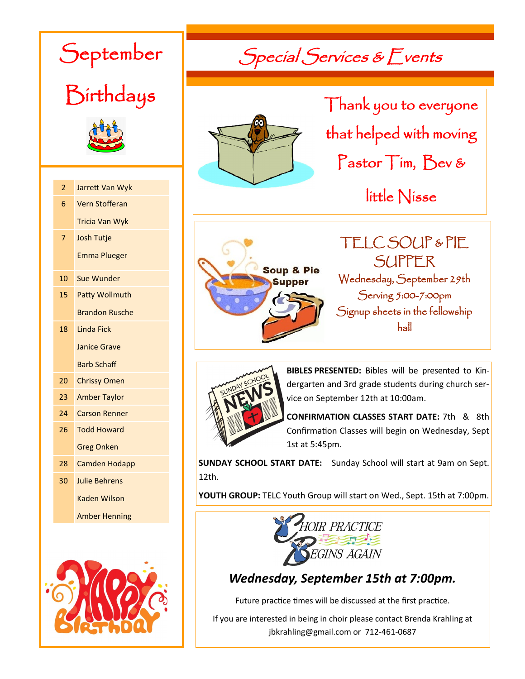| )eptember<br>Birthdays |                       |  |  |
|------------------------|-----------------------|--|--|
| $\overline{2}$         | Jarrett Van Wyk       |  |  |
| 6                      | <b>Vern Stofferan</b> |  |  |
|                        | <b>Tricia Van Wyk</b> |  |  |
| 7                      | <b>Josh Tutje</b>     |  |  |
|                        | <b>Emma Plueger</b>   |  |  |
|                        |                       |  |  |
| 10                     | <b>Sue Wunder</b>     |  |  |
| 15                     | <b>Patty Wollmuth</b> |  |  |
|                        | <b>Brandon Rusche</b> |  |  |
| 18                     | <b>Linda Fick</b>     |  |  |
|                        | <b>Janice Grave</b>   |  |  |
|                        | <b>Barb Schaff</b>    |  |  |
| 20                     | <b>Chrissy Omen</b>   |  |  |
| 23                     | <b>Amber Taylor</b>   |  |  |
| 24                     | Carson Renner         |  |  |
| 26                     | <b>Todd Howard</b>    |  |  |
|                        | <b>Greg Onken</b>     |  |  |
| 28                     | <b>Camden Hodapp</b>  |  |  |
| 30                     | <b>Julie Behrens</b>  |  |  |
|                        | <b>Kaden Wilson</b>   |  |  |
|                        | <b>Amber Henning</b>  |  |  |
|                        |                       |  |  |



Special Services & Events



Thank you to everyone that helped with moving Pastor Tim, Bev &

little Nisse





**BIBLES PRESENTED:** Bibles will be presented to Kindergarten and 3rd grade students during church service on September 12th at 10:00am.

**CONFIRMATION CLASSES START DATE:** 7th & 8th Confirmation Classes will begin on Wednesday, Sept 1st at 5:45pm.

**SUNDAY SCHOOL START DATE:** Sunday School will start at 9am on Sept. 12th.

**YOUTH GROUP:** TELC Youth Group will start on Wed., Sept. 15th at 7:00pm.



### *Wednesday, September 15th at 7:00pm.*

Future practice times will be discussed at the first practice.

If you are interested in being in choir please contact Brenda Krahling at jbkrahling@gmail.com or 712-461-0687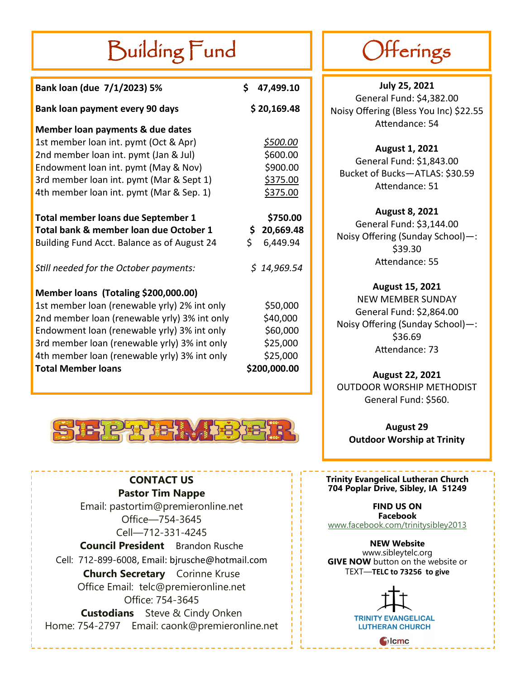# Building Fund

| Bank loan (due 7/1/2023) 5%                  | \$  | 47,499.10        |
|----------------------------------------------|-----|------------------|
| Bank loan payment every 90 days              |     | \$20,169.48      |
| Member loan payments & due dates             |     |                  |
| 1st member loan int. pymt (Oct & Apr)        |     | <u>\$500.00</u>  |
| 2nd member loan int. pymt (Jan & Jul)        |     | \$600.00         |
| Endowment loan int. pymt (May & Nov)         |     | \$900.00         |
| 3rd member loan int. pymt (Mar & Sept 1)     |     | \$375.00         |
| 4th member loan int. pymt (Mar & Sep. 1)     |     | \$375.00         |
| <b>Total member loans due September 1</b>    |     | \$750.00         |
| Total bank & member loan due October 1       |     | \$.<br>20,669.48 |
| Building Fund Acct. Balance as of August 24  | \$. | 6,449.94         |
| Still needed for the October payments:       |     | \$14,969.54      |
| Member loans (Totaling \$200,000.00)         |     |                  |
| 1st member loan (renewable yrly) 2% int only |     | \$50,000         |
| 2nd member loan (renewable yrly) 3% int only |     | \$40,000         |
| Endowment loan (renewable yrly) 3% int only  |     | \$60,000         |
| 3rd member loan (renewable yrly) 3% int only |     | \$25,000         |
| 4th member loan (renewable yrly) 3% int only |     | \$25,000         |
| <b>Total Member loans</b>                    |     | \$200,000.00     |



**CONTACT US Pastor Tim Nappe**  Email: pastortim@premieronline.net Office—754-3645 Cell—712-331-4245 **Council President** Brandon Rusche Cell: 712-899-6008, Email: bjrusche@hotmail.com **Church Secretary** Corinne Kruse Office Email: telc@premieronline.net Office: 754-3645 **Custodians** Steve & Cindy Onken Home: 754-2797 Email: caonk@premieronline.net

# Offerings

**July 25, 2021** General Fund: \$4,382.00 Noisy Offering (Bless You Inc) \$22.55 Attendance: 54

**August 1, 2021** General Fund: \$1,843.00 Bucket of Bucks—ATLAS: \$30.59 Attendance: 51

**August 8, 2021** General Fund: \$3,144.00 Noisy Offering (Sunday School)—: \$39.30 Attendance: 55

**August 15, 2021** NEW MEMBER SUNDAY General Fund: \$2,864.00 Noisy Offering (Sunday School)—: \$36.69 Attendance: 73

**August 22, 2021** OUTDOOR WORSHIP METHODIST General Fund: \$560.

**August 29 Outdoor Worship at Trinity**

### **Trinity Evangelical Lutheran Church 704 Poplar Drive, Sibley, IA 51249**

**FIND US ON Facebook** [www.facebook.com/trinitysibley2013](http://www.facebook.com/trinitysibley2013)

**NEW Website** www.sibleytelc.org **GIVE NOW** button on the website or TEXT—**TELC to 73256 to give**



**TRINITY EVANGELICAL LUTHERAN CHURCH** 

 $\bigcirc$  lcmc